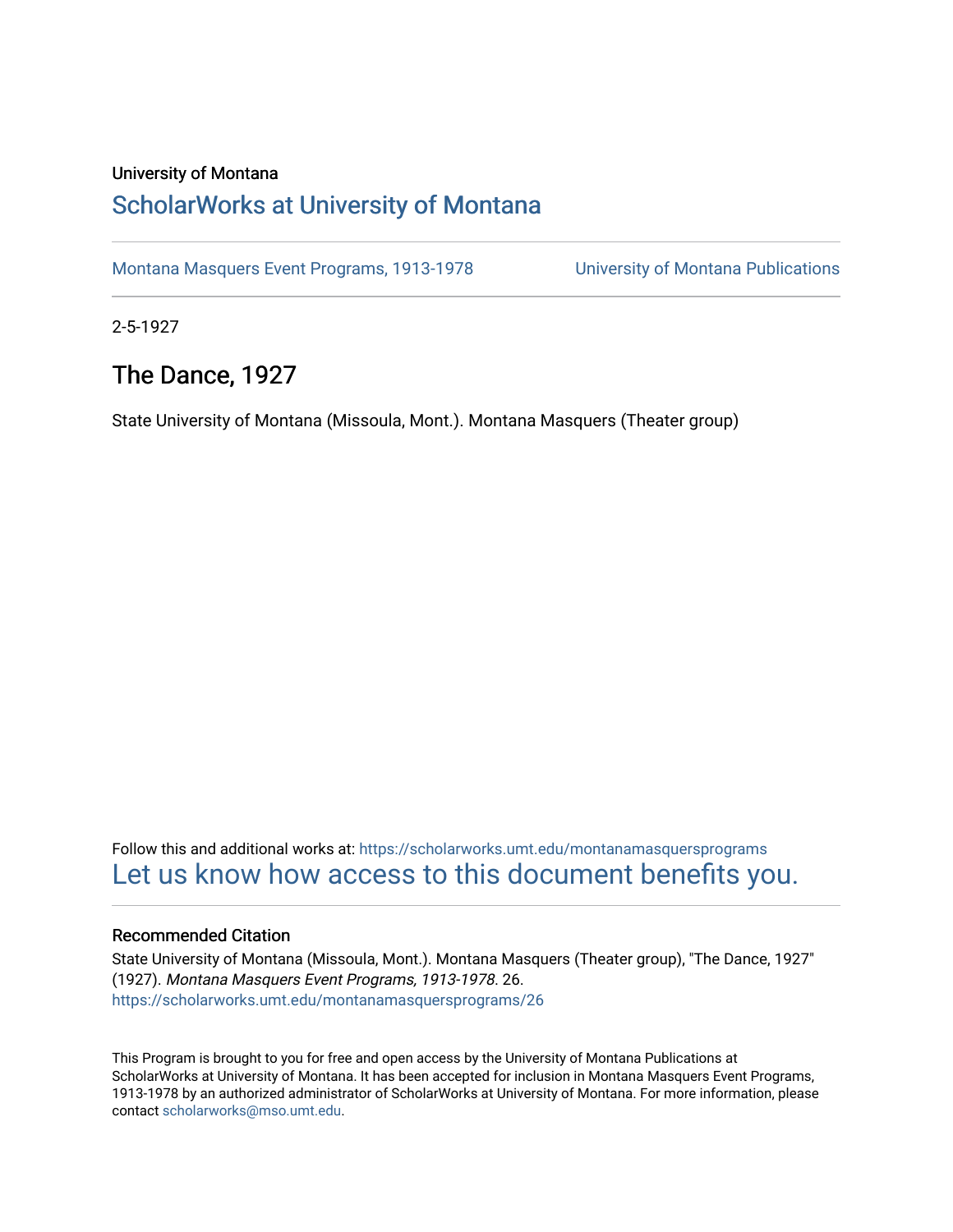#### University of Montana

## [ScholarWorks at University of Montana](https://scholarworks.umt.edu/)

[Montana Masquers Event Programs, 1913-1978](https://scholarworks.umt.edu/montanamasquersprograms) [University of Montana Publications](https://scholarworks.umt.edu/umpubs) 

2-5-1927

## The Dance, 1927

State University of Montana (Missoula, Mont.). Montana Masquers (Theater group)

Follow this and additional works at: [https://scholarworks.umt.edu/montanamasquersprograms](https://scholarworks.umt.edu/montanamasquersprograms?utm_source=scholarworks.umt.edu%2Fmontanamasquersprograms%2F26&utm_medium=PDF&utm_campaign=PDFCoverPages) [Let us know how access to this document benefits you.](https://goo.gl/forms/s2rGfXOLzz71qgsB2) 

#### Recommended Citation

State University of Montana (Missoula, Mont.). Montana Masquers (Theater group), "The Dance, 1927" (1927). Montana Masquers Event Programs, 1913-1978. 26. [https://scholarworks.umt.edu/montanamasquersprograms/26](https://scholarworks.umt.edu/montanamasquersprograms/26?utm_source=scholarworks.umt.edu%2Fmontanamasquersprograms%2F26&utm_medium=PDF&utm_campaign=PDFCoverPages) 

This Program is brought to you for free and open access by the University of Montana Publications at ScholarWorks at University of Montana. It has been accepted for inclusion in Montana Masquers Event Programs, 1913-1978 by an authorized administrator of ScholarWorks at University of Montana. For more information, please contact [scholarworks@mso.umt.edu](mailto:scholarworks@mso.umt.edu).